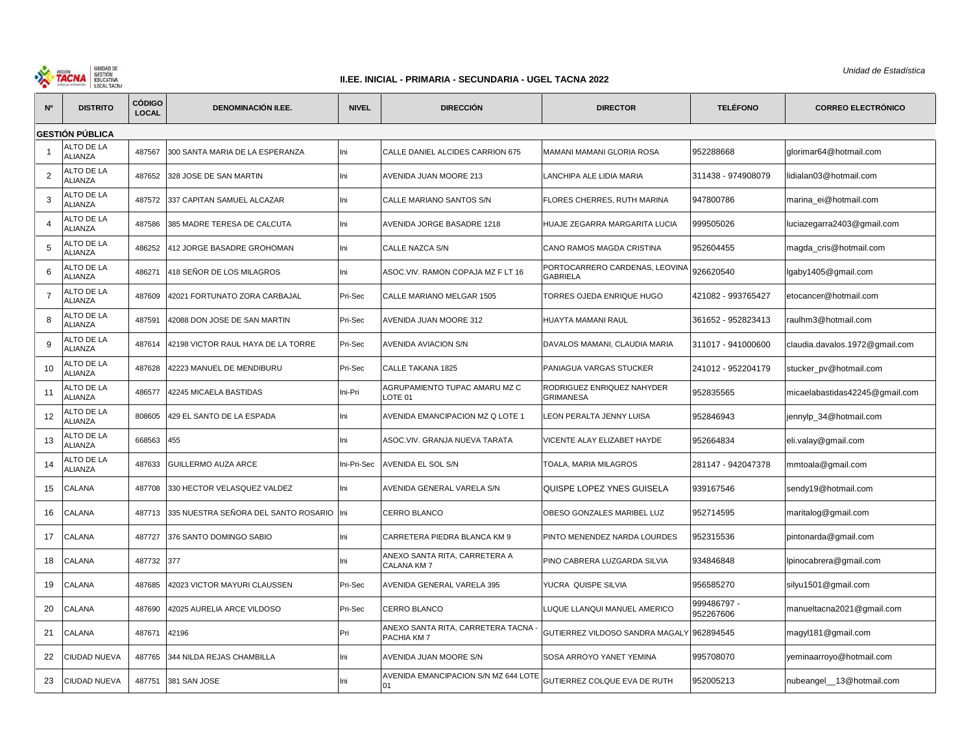

## **II.EE. INICIAL - PRIMARIA - SECUNDARIA - UGEL TACNA 2022**

*Unidad de Estadística*

| N°             | <b>DISTRITO</b>       | <b>CÓDIGO</b><br><b>LOCAL</b> | <b>DENOMINACIÓN II.EE.</b>               | <b>NIVEL</b> | <b>DIRECCIÓN</b>                                | <b>DIRECTOR</b>                                   | <b>TELÉFONO</b>          | <b>CORREO ELECTRÓNICO</b>      |
|----------------|-----------------------|-------------------------------|------------------------------------------|--------------|-------------------------------------------------|---------------------------------------------------|--------------------------|--------------------------------|
|                | GESTIÓN PÚBLICA       |                               |                                          |              |                                                 |                                                   |                          |                                |
|                | ALTO DE LA<br>ALIANZA | 487567                        | 300 SANTA MARIA DE LA ESPERANZA          | Ini          | CALLE DANIEL ALCIDES CARRION 675                | MAMANI MAMANI GLORIA ROSA                         | 952288668                | glorimar64@hotmail.com         |
| $\overline{2}$ | ALTO DE LA<br>ALIANZA | 487652                        | 328 JOSE DE SAN MARTIN                   | lni          | AVENIDA JUAN MOORE 213                          | LANCHIPA ALE LIDIA MARIA                          | 311438 - 974908079       | lidialan03@hotmail.com         |
| 3              | ALTO DE LA<br>ALIANZA | 487572                        | 337 CAPITAN SAMUEL ALCAZAR               | lni          | CALLE MARIANO SANTOS S/N                        | FLORES CHERRES, RUTH MARINA                       | 947800786                | marina_ei@hotmail.com          |
| $\overline{4}$ | ALTO DE LA<br>ALIANZA | 487586                        | 385 MADRE TERESA DE CALCUTA              | Ini          | AVENIDA JORGE BASADRE 1218                      | HUAJE ZEGARRA MARGARITA LUCIA                     | 999505026                | luciazegarra2403@gmail.com     |
| 5              | ALTO DE LA<br>ALIANZA | 486252                        | 412 JORGE BASADRE GROHOMAN               | lni          | CALLE NAZCA S/N                                 | CANO RAMOS MAGDA CRISTINA                         | 952604455                | magda_cris@hotmail.com         |
| 6              | ALTO DE LA<br>ALIANZA | 486271                        | 418 SEÑOR DE LOS MILAGROS                | Ini          | ASOC.VIV. RAMON COPAJA MZ F LT 16               | PORTOCARRERO CARDENAS, LEOVINA<br><b>GABRIELA</b> | 926620540                | lgaby1405@gmail.com            |
| $\overline{7}$ | ALTO DE LA<br>ALIANZA | 487609                        | 42021 FORTUNATO ZORA CARBAJAL            | Pri-Sec      | CALLE MARIANO MELGAR 1505                       | TORRES OJEDA ENRIQUE HUGO                         | 421082 - 993765427       | etocancer@hotmail.com          |
| 8              | ALTO DE LA<br>ALIANZA | 487591                        | 42088 DON JOSE DE SAN MARTIN             | Pri-Sec      | AVENIDA JUAN MOORE 312                          | HUAYTA MAMANI RAUL                                | 361652 - 952823413       | raulhm3@hotmail.com            |
| 9              | ALTO DE LA<br>ALIANZA | 487614                        | 42198 VICTOR RAUL HAYA DE LA TORRE       | Pri-Sec      | <b>AVENIDA AVIACION S/N</b>                     | DAVALOS MAMANI, CLAUDIA MARIA                     | 311017 - 941000600       | claudia.davalos.1972@gmail.com |
| 10             | ALTO DE LA<br>ALIANZA | 487628                        | 42223 MANUEL DE MENDIBURU                | Pri-Sec      | CALLE TAKANA 1825                               | PANIAGUA VARGAS STUCKER                           | 241012 - 952204179       | stucker_pv@hotmail.com         |
| 11             | ALTO DE LA<br>ALIANZA | 486577                        | 42245 MICAELA BASTIDAS                   | Ini-Pri      | AGRUPAMIENTO TUPAC AMARU MZ C<br>LOTE 01        | RODRIGUEZ ENRIQUEZ NAHYDER<br><b>GRIMANESA</b>    | 952835565                | micaelabastidas42245@gmail.com |
| 12             | ALTO DE LA<br>ALIANZA | 808605                        | 429 EL SANTO DE LA ESPADA                | lni          | AVENIDA EMANCIPACION MZ Q LOTE 1                | LEON PERALTA JENNY LUISA                          | 952846943                | jennylp_34@hotmail.com         |
| 13             | ALTO DE LA<br>ALIANZA | 668563                        | 455                                      | lni          | ASOC.VIV. GRANJA NUEVA TARATA                   | VICENTE ALAY ELIZABET HAYDE                       | 952664834                | eli.valay@gmail.com            |
| 14             | ALTO DE LA<br>ALIANZA | 487633                        | <b>GUILLERMO AUZA ARCE</b>               | Ini-Pri-Sec  | AVENIDA EL SOL S/N                              | TOALA, MARIA MILAGROS                             | 281147 - 942047378       | mmtoala@gmail.com              |
| 15             | CALANA                | 487708                        | 330 HECTOR VELASQUEZ VALDEZ              | Ini          | AVENIDA GENERAL VARELA S/N                      | QUISPE LOPEZ YNES GUISELA                         | 939167546                | sendy19@hotmail.com            |
| 16             | CALANA                | 487713                        | 335 NUESTRA SEÑORA DEL SANTO ROSARIO Ini |              | CERRO BLANCO                                    | OBESO GONZALES MARIBEL LUZ                        | 952714595                | maritalog@gmail.com            |
| 17             | CALANA                | 487727                        | 376 SANTO DOMINGO SABIO                  | lni          | CARRETERA PIEDRA BLANCA KM 9                    | PINTO MENENDEZ NARDA LOURDES                      | 952315536                | pintonarda@gmail.com           |
| 18             | CALANA                | 487732 377                    |                                          | lni          | ANEXO SANTA RITA, CARRETERA A<br>CALANA KM 7    | PINO CABRERA LUZGARDA SILVIA                      | 934846848                | lpinocabrera@gmail.com         |
| 19             | CALANA                | 487685                        | 42023 VICTOR MAYURI CLAUSSEN             | Pri-Sec      | AVENIDA GENERAL VARELA 395                      | YUCRA QUISPE SILVIA                               | 956585270                | silyu1501@gmail.com            |
| 20             | CALANA                | 487690                        | 42025 AURELIA ARCE VILDOSO               | Pri-Sec      | CERRO BLANCO                                    | LUQUE LLANQUI MANUEL AMERICO                      | 999486797 -<br>952267606 | manueltacna2021@gmail.com      |
| 21             | CALANA                | 487671                        | 42196                                    | Pri          | ANEXO SANTA RITA, CARRETERA TACNA<br>PACHIA KM7 | GUTIERREZ VILDOSO SANDRA MAGALY 962894545         |                          | magyl181@gmail.com             |
| 22             | CIUDAD NUEVA          | 487765                        | 344 NILDA REJAS CHAMBILLA                | lni          | AVENIDA JUAN MOORE S/N                          | SOSA ARROYO YANET YEMINA                          | 995708070                | yeminaarroyo@hotmail.com       |
| 23             | CIUDAD NUEVA          | 487751                        | 381 SAN JOSE                             | lni          | AVENIDA EMANCIPACION S/N MZ 644 LOTE<br>01      | GUTIERREZ COLQUE EVA DE RUTH                      | 952005213                | nubeangel__13@hotmail.com      |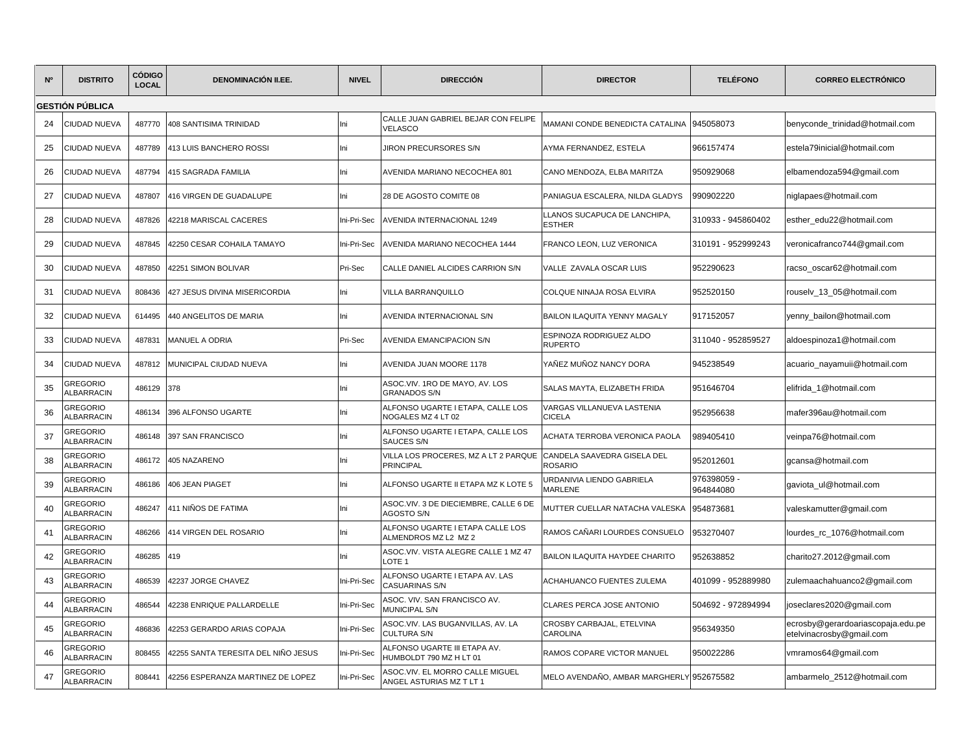| N° | <b>DISTRITO</b>                      | <b>CÓDIGO</b><br><b>LOCAL</b> | <b>DENOMINACIÓN II.EE.</b>          | <b>NIVEL</b> | <b>DIRECCIÓN</b>                                            | <b>DIRECTOR</b>                             | <b>TELÉFONO</b>        | <b>CORREO ELECTRÓNICO</b>                                     |
|----|--------------------------------------|-------------------------------|-------------------------------------|--------------|-------------------------------------------------------------|---------------------------------------------|------------------------|---------------------------------------------------------------|
|    | <b>GESTIÓN PÚBLICA</b>               |                               |                                     |              |                                                             |                                             |                        |                                                               |
| 24 | <b>CIUDAD NUEVA</b>                  | 487770                        | 408 SANTISIMA TRINIDAD              | Ini          | CALLE JUAN GABRIEL BEJAR CON FELIPE<br><b>VELASCO</b>       | MAMANI CONDE BENEDICTA CATALINA             | 945058073              | benyconde trinidad@hotmail.com                                |
| 25 | CIUDAD NUEVA                         | 487789                        | 413 LUIS BANCHERO ROSSI             | Ini          | <b>JIRON PRECURSORES S/N</b>                                | AYMA FERNANDEZ, ESTELA                      | 966157474              | estela79inicial@hotmail.com                                   |
| 26 | CIUDAD NUEVA                         | 487794                        | 415 SAGRADA FAMILIA                 | Ini          | AVENIDA MARIANO NECOCHEA 801                                | CANO MENDOZA, ELBA MARITZA                  | 950929068              | elbamendoza594@gmail.com                                      |
| 27 | CIUDAD NUEVA                         | 487807                        | 416 VIRGEN DE GUADALUPE             | Ini          | 28 DE AGOSTO COMITE 08                                      | PANIAGUA ESCALERA, NILDA GLADYS             | 990902220              | niglapaes@hotmail.com                                         |
| 28 | CIUDAD NUEVA                         | 487826                        | 42218 MARISCAL CACERES              | Ini-Pri-Sec  | AVENIDA INTERNACIONAL 1249                                  | LLANOS SUCAPUCA DE LANCHIPA,<br>ESTHER      | 310933 - 945860402     | esther_edu22@hotmail.com                                      |
| 29 | CIUDAD NUEVA                         | 487845                        | 42250 CESAR COHAILA TAMAYO          | Ini-Pri-Sec  | AVENIDA MARIANO NECOCHEA 1444                               | FRANCO LEON, LUZ VERONICA                   | 310191 - 952999243     | veronicafranco744@gmail.com                                   |
| 30 | CIUDAD NUEVA                         | 487850                        | <b>12251 SIMON BOLIVAR</b>          | Pri-Sec      | CALLE DANIEL ALCIDES CARRION S/N                            | VALLE ZAVALA OSCAR LUIS                     | 952290623              | racso oscar62@hotmail.com                                     |
| 31 | CIUDAD NUEVA                         | 808436                        | 427 JESUS DIVINA MISERICORDIA       | Ini          | VILLA BARRANQUILLO                                          | COLQUE NINAJA ROSA ELVIRA                   | 952520150              | rouselv_13_05@hotmail.com                                     |
| 32 | CIUDAD NUEVA                         | 614495                        | 440 ANGELITOS DE MARIA              | Ini          | AVENIDA INTERNACIONAL S/N                                   | <b>BAILON ILAQUITA YENNY MAGALY</b>         | 917152057              | yenny_bailon@hotmail.com                                      |
| 33 | CIUDAD NUEVA                         | 487831                        | <b>MANUEL A ODRIA</b>               | Pri-Sec      | AVENIDA EMANCIPACION S/N                                    | ESPINOZA RODRIGUEZ ALDO<br><b>RUPERTO</b>   | 311040 - 952859527     | aldoespinoza1@hotmail.com                                     |
| 34 | CIUDAD NUEVA                         | 487812                        | MUNICIPAL CIUDAD NUEVA              | Ini          | AVENIDA JUAN MOORE 1178                                     | YAÑEZ MUÑOZ NANCY DORA                      | 945238549              | acuario_nayamuii@hotmail.com                                  |
| 35 | GREGORIO<br><b>ALBARRACIN</b>        | 486129                        | 378                                 | Ini          | ASOC.VIV. 1RO DE MAYO, AV. LOS<br><b>GRANADOS S/N</b>       | SALAS MAYTA, ELIZABETH FRIDA                | 951646704              | elifrida_1@hotmail.com                                        |
| 36 | GREGORIO<br><b>ALBARRACIN</b>        | 486134                        | 396 ALFONSO UGARTE                  | Ini          | ALFONSO UGARTE I ETAPA, CALLE LOS<br>NOGALES MZ 4 LT 02     | VARGAS VILLANUEVA LASTENIA<br><b>CICELA</b> | 952956638              | mafer396au@hotmail.com                                        |
| 37 | GREGORIO<br><b>ALBARRACIN</b>        | 486148                        | 397 SAN FRANCISCO                   | lni          | ALFONSO UGARTE I ETAPA, CALLE LOS<br>SAUCES S/N             | ACHATA TERROBA VERONICA PAOLA               | 989405410              | veinpa76@hotmail.com                                          |
| 38 | GREGORIO<br><b>ALBARRACIN</b>        | 486172                        | 405 NAZARENO                        | Ini          | VILLA LOS PROCERES, MZ A LT 2 PARQUE<br><b>PRINCIPAL</b>    | CANDELA SAAVEDRA GISELA DEL<br>ROSARIO      | 952012601              | gcansa@hotmail.com                                            |
| 39 | GREGORIO<br><b>ALBARRACIN</b>        | 486186                        | 406 JEAN PIAGET                     | Ini          | ALFONSO UGARTE II ETAPA MZ K LOTE 5                         | URDANIVIA LIENDO GABRIELA<br>MARLENE        | 976398059<br>964844080 | gaviota_ul@hotmail.com                                        |
| 40 | <b>GREGORIO</b><br><b>ALBARRACIN</b> | 486247                        | 411 NIÑOS DE FATIMA                 | Ini          | ASOC.VIV. 3 DE DIECIEMBRE, CALLE 6 DE<br>AGOSTO S/N         | MUTTER CUELLAR NATACHA VALESKA              | 954873681              | valeskamutter@gmail.com                                       |
| 41 | GREGORIO<br><b>ALBARRACIN</b>        | 486266                        | 414 VIRGEN DEL ROSARIO              | Ini          | ALFONSO UGARTE I ETAPA CALLE LOS<br>ALMENDROS MZ L2 MZ 2    | RAMOS CAÑARI LOURDES CONSUELO               | 953270407              | lourdes_rc_1076@hotmail.com                                   |
| 42 | GREGORIO<br><b>ALBARRACIN</b>        | 486285                        | 419                                 | Ini          | ASOC.VIV. VISTA ALEGRE CALLE 1 MZ 47<br>LOTE <sub>1</sub>   | BAILON ILAQUITA HAYDEE CHARITO              | 952638852              | charito27.2012@gmail.com                                      |
| 43 | GREGORIO<br><b>ALBARRACIN</b>        | 486539                        | 42237 JORGE CHAVEZ                  | Ini-Pri-Sec  | ALFONSO UGARTE I ETAPA AV. LAS<br><b>CASUARINAS S/N</b>     | <b>ACHAHUANCO FUENTES ZULEMA</b>            | 401099 - 952889980     | zulemaachahuanco2@gmail.com                                   |
| 44 | GREGORIO<br><b>ALBARRACIN</b>        | 486544                        | 42238 ENRIQUE PALLARDELLE           | Ini-Pri-Sec  | ASOC. VIV. SAN FRANCISCO AV.<br>MUNICIPAL S/N               | CLARES PERCA JOSE ANTONIO                   | 504692 - 972894994     | joseclares2020@gmail.com                                      |
| 45 | GREGORIO<br><b>ALBARRACIN</b>        | 486836                        | 42253 GERARDO ARIAS COPAJA          | Ini-Pri-Sec  | ASOC.VIV. LAS BUGANVILLAS, AV. LA<br><b>CULTURA S/N</b>     | CROSBY CARBAJAL, ETELVINA<br>CAROLINA       | 956349350              | ecrosby@gerardoariascopaja.edu.pe<br>etelvinacrosby@gmail.com |
| 46 | GREGORIO<br><b>ALBARRACIN</b>        | 808455                        | 42255 SANTA TERESITA DEL NIÑO JESUS | Ini-Pri-Sec  | ALFONSO UGARTE III ETAPA AV.<br>HUMBOLDT 790 MZ H LT 01     | RAMOS COPARE VICTOR MANUEL                  | 950022286              | vmramos64@gmail.com                                           |
| 47 | GREGORIO<br>ALBARRACIN               | 808441                        | 12256 ESPERANZA MARTINEZ DE LOPEZ   | Ini-Pri-Sec  | ASOC.VIV. EL MORRO CALLE MIGUEL<br>ANGEL ASTURIAS MZ T LT 1 | MELO AVENDAÑO, AMBAR MARGHERLY              | 952675582              | ambarmelo_2512@hotmail.com                                    |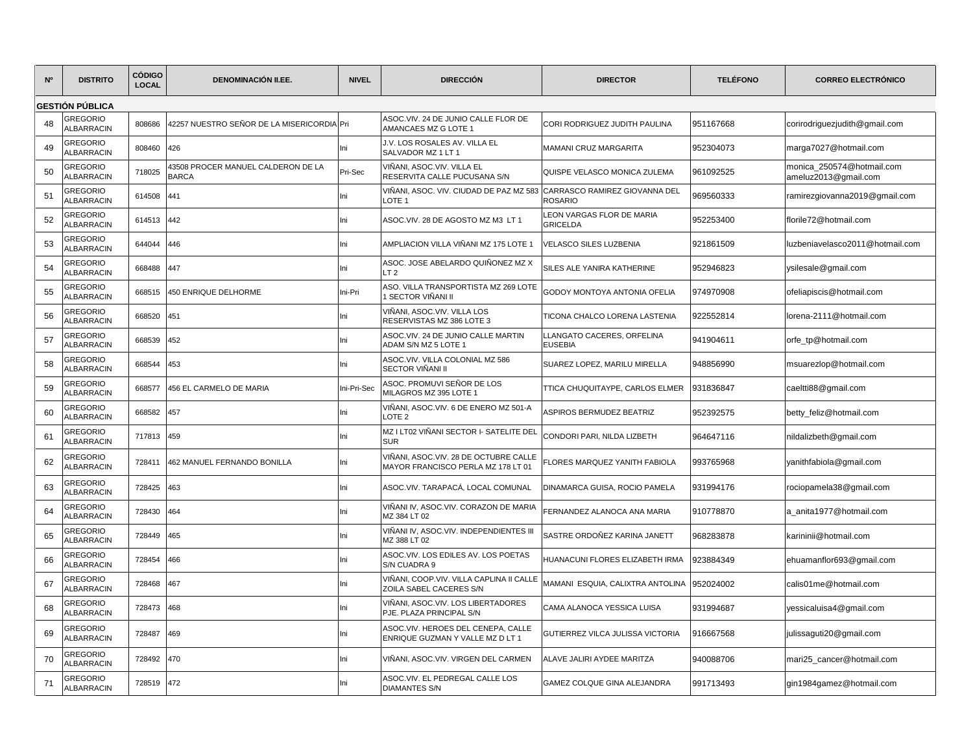| N° | <b>DISTRITO</b>                      | <b>CÓDIGO</b><br><b>LOCAL</b> | <b>DENOMINACIÓN II.EE.</b>                         | <b>NIVEL</b> | <b>DIRECCIÓN</b>                                                            | <b>DIRECTOR</b>                                 | <b>TELÉFONO</b> | <b>CORREO ELECTRÓNICO</b>                         |
|----|--------------------------------------|-------------------------------|----------------------------------------------------|--------------|-----------------------------------------------------------------------------|-------------------------------------------------|-----------------|---------------------------------------------------|
|    | GESTIÓN PÚBLICA                      |                               |                                                    |              |                                                                             |                                                 |                 |                                                   |
| 48 | <b>GREGORIO</b><br><b>ALBARRACIN</b> | 808686                        | 42257 NUESTRO SEÑOR DE LA MISERICORDIA Pri         |              | ASOC.VIV, 24 DE JUNIO CALLE FLOR DE<br>AMANCAES MZ G LOTE 1                 | CORI RODRIGUEZ JUDITH PAULINA                   | 951167668       | corirodriguezjudith@gmail.com                     |
| 49 | <b>GREGORIO</b><br><b>ALBARRACIN</b> | 808460                        | 426                                                | Ini          | J.V. LOS ROSALES AV. VILLA EL<br>SALVADOR MZ 1 LT 1                         | MAMANI CRUZ MARGARITA                           | 952304073       | marga7027@hotmail.com                             |
| 50 | <b>GREGORIO</b><br><b>ILBARRACIN</b> | 718025                        | 43508 PROCER MANUEL CALDERON DE LA<br><b>BARCA</b> | Pri-Sec      | VIÑANI. ASOC.VIV. VILLA EL<br>RESERVITA CALLE PUCUSANA S/N                  | QUISPE VELASCO MONICA ZULEMA                    | 961092525       | monica 250574@hotmail.com<br>ameluz2013@gmail.com |
| 51 | <b>GREGORIO</b><br><b>ALBARRACIN</b> | 614508                        | 441                                                | lni          | VIÑANI, ASOC. VIV. CIUDAD DE PAZ MZ 583<br>LOTE <sub>1</sub>                | CARRASCO RAMIREZ GIOVANNA DEL<br><b>ROSARIO</b> | 969560333       | ramirezgiovanna2019@gmail.com                     |
| 52 | REGORIO<br><b>ALBARRACIN</b>         | 614513                        | 442                                                | lni          | ASOC.VIV. 28 DE AGOSTO MZ M3 LT 1                                           | LEON VARGAS FLOR DE MARIA<br><b>GRICELDA</b>    | 952253400       | florile72@hotmail.com                             |
| 53 | <b>GREGORIO</b><br><b>ALBARRACIN</b> | 644044                        | 446                                                | Ini          | AMPLIACION VILLA VIÑANI MZ 175 LOTE 1                                       | VELASCO SILES LUZBENIA                          | 921861509       | luzbeniavelasco2011@hotmail.com                   |
| 54 | <b>GREGORIO</b><br><b>LBARRACIN</b>  | 668488                        | 447                                                | lni          | ASOC. JOSE ABELARDO QUIÑONEZ MZ X<br>LT <sub>2</sub>                        | SILES ALE YANIRA KATHERINE                      | 952946823       | ysilesale@gmail.com                               |
| 55 | REGORIO<br><b>ALBARRACIN</b>         | 668515                        | 450 ENRIQUE DELHORME                               | ni-Pri       | ASO. VILLA TRANSPORTISTA MZ 269 LOTE<br>I SECTOR VIÑANI II                  | GODOY MONTOYA ANTONIA OFELIA                    | 974970908       | ofeliapiscis@hotmail.com                          |
| 56 | GREGORIO<br><b>ALBARRACIN</b>        | 668520                        | 451                                                | Ini          | VIÑANI, ASOC.VIV. VILLA LOS<br>RESERVISTAS MZ 386 LOTE 3                    | TICONA CHALCO LORENA LASTENIA                   | 922552814       | lorena-2111@hotmail.com                           |
| 57 | REGORIO<br><b>ALBARRACIN</b>         | 668539                        | 452                                                | Ini          | ASOC.VIV. 24 DE JUNIO CALLE MARTIN<br>ADAM S/N MZ 5 LOTE 1                  | LLANGATO CACERES, ORFELINA<br><b>EUSEBIA</b>    | 941904611       | orfe_tp@hotmail.com                               |
| 58 | <b>GREGORIO</b><br><b>ALBARRACIN</b> | 668544                        | 453                                                | lni          | ASOC.VIV. VILLA COLONIAL MZ 586<br>SECTOR VIÑANI II                         | SUAREZ LOPEZ, MARILU MIRELLA                    | 948856990       | msuarezlop@hotmail.com                            |
| 59 | REGORIO<br><b>ILBARRACIN</b>         | 668577                        | 456 EL CARMELO DE MARIA                            | ni-Pri-Sec   | ASOC. PROMUVI SEÑOR DE LOS<br>MILAGROS MZ 395 LOTE 1                        | TTICA CHUQUITAYPE, CARLOS ELMER                 | 931836847       | caeltti88@gmail.com                               |
| 60 | <b>GREGORIO</b><br>LBARRACIN         | 668582                        | 457                                                | ni           | VIÑANI, ASOC.VIV. 6 DE ENERO MZ 501-A<br>LOTE <sub>2</sub>                  | <b>ASPIROS BERMUDEZ BEATRIZ</b>                 | 952392575       | betty_feliz@hotmail.com                           |
| 61 | <b>GREGORIO</b><br><b>ALBARRACIN</b> | 717813                        | 459                                                | Ini          | MZ I LT02 VIÑANI SECTOR I- SATELITE DEL<br><b>SUR</b>                       | CONDORI PARI. NILDA LIZBETH                     | 964647116       | nildalizbeth@qmail.com                            |
| 62 | <b>GREGORIO</b><br><b>ILBARRACIN</b> | 728411                        | 462 MANUEL FERNANDO BONILLA                        | Ini          | VIÑANI, ASOC.VIV. 28 DE OCTUBRE CALLE<br>MAYOR FRANCISCO PERLA MZ 178 LT 01 | FLORES MARQUEZ YANITH FABIOLA                   | 993765968       | yanithfabiola@gmail.com                           |
| 63 | <b>GREGORIO</b><br><b>LBARRACIN</b>  | 728425                        | 463                                                | lni          | ASOC.VIV. TARAPACÁ, LOCAL COMUNAL                                           | DINAMARCA GUISA, ROCIO PAMELA                   | 931994176       | rociopamela38@gmail.com                           |
| 64 | <b>GREGORIO</b><br><b>ALBARRACIN</b> | 728430                        | 464                                                | lni          | VIÑANI IV, ASOC.VIV. CORAZON DE MARIA<br>MZ 384 LT 02                       | FERNANDEZ ALANOCA ANA MARIA                     | 910778870       | a_anita1977@hotmail.com                           |
| 65 | REGORIO<br><b>LBARRACIN</b>          | 728449                        | 465                                                | Ini          | VIÑANI IV, ASOC.VIV. INDEPENDIENTES III<br>MZ 388 LT 02                     | SASTRE ORDOÑEZ KARINA JANETT                    | 968283878       | karininii@hotmail.com                             |
| 66 | <b>GREGORIO</b><br><b>ILBARRACIN</b> | 728454                        | 466                                                | Ini          | ASOC.VIV. LOS EDILES AV. LOS POETAS<br>S/N CUADRA 9                         | HUANACUNI FLORES ELIZABETH IRMA                 | 923884349       | ehuamanflor693@gmail.com                          |
| 67 | <b>GREGORIO</b><br><b>ALBARRACIN</b> | 728468                        | 467                                                | Ini          | VIÑANI, COOP.VIV. VILLA CAPLINA II CALLE<br>ZOILA SABEL CACERES S/N         | MAMANI ESQUIA, CALIXTRA ANTOLINA                | 952024002       | calis01me@hotmail.com                             |
| 68 | REGORIO<br><b>ILBARRACIN</b>         | 728473                        | 468                                                | lni          | VIÑANI, ASOC.VIV. LOS LIBERTADORES<br>PJE. PLAZA PRINCIPAL S/N              | CAMA ALANOCA YESSICA LUISA                      | 931994687       | yessicaluisa4@gmail.com                           |
| 69 | REGORIO<br><b>ALBARRACIN</b>         | 728487                        | 469                                                | lni          | ASOC.VIV. HEROES DEL CENEPA, CALLE<br>ENRIQUE GUZMAN Y VALLE MZ D LT 1      | GUTIERREZ VILCA JULISSA VICTORIA                | 916667568       | julissaguti20@gmail.com                           |
| 70 | <b>REGORIO</b><br><b>ALBARRACIN</b>  | 728492                        | 470                                                | Ini          | VIÑANI, ASOC.VIV. VIRGEN DEL CARMEN                                         | ALAVE JALIRI AYDEE MARITZA                      | 940088706       | mari25_cancer@hotmail.com                         |
| 71 | <b>GREGORIO</b><br><b>ALBARRACIN</b> | 728519                        | 472                                                | Ini          | ASOC.VIV. EL PEDREGAL CALLE LOS<br><b>DIAMANTES S/N</b>                     | GAMEZ COLQUE GINA ALEJANDRA                     | 991713493       | gin1984gamez@hotmail.com                          |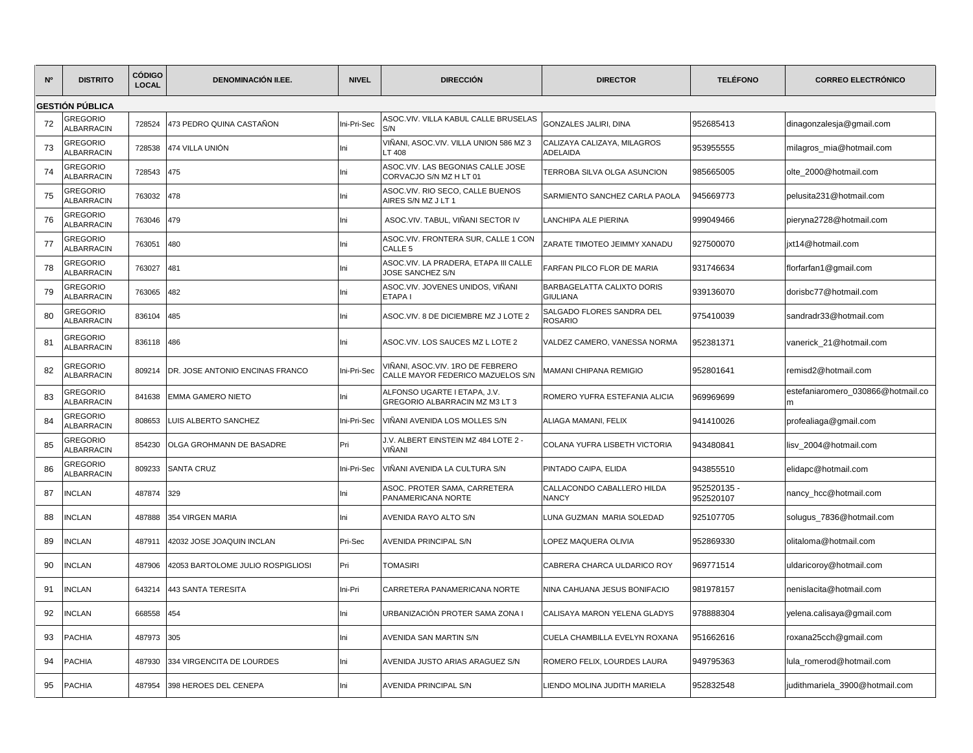| N° | <b>DISTRITO</b>                      | <b>CÓDIGO</b><br><b>LOCAL</b> | <b>DENOMINACIÓN II.EE.</b>        | <b>NIVEL</b> | <b>DIRECCIÓN</b>                                                      | <b>DIRECTOR</b>                                | <b>TELÉFONO</b>          | <b>CORREO ELECTRÓNICO</b>         |
|----|--------------------------------------|-------------------------------|-----------------------------------|--------------|-----------------------------------------------------------------------|------------------------------------------------|--------------------------|-----------------------------------|
|    | GESTIÓN PÚBLICA                      |                               |                                   |              |                                                                       |                                                |                          |                                   |
| 72 | <b>GREGORIO</b><br>ALBARRACIN        | 728524                        | 473 PEDRO QUINA CASTAÑON          | ni-Pri-Sec   | ASOC.VIV. VILLA KABUL CALLE BRUSELAS<br>S/N                           | GONZALES JALIRI, DINA                          | 952685413                | dinagonzalesja@gmail.com          |
| 73 | <b>GREGORIO</b><br>ALBARRACIN        | 728538                        | 474 VILLA UNIÓN                   | Ini          | VIÑANI, ASOC.VIV. VILLA UNION 586 MZ 3<br>LT 408                      | CALIZAYA CALIZAYA, MILAGROS<br><b>ADELAIDA</b> | 953955555                | milagros_mia@hotmail.com          |
| 74 | <b>GREGORIO</b><br><b>ALBARRACIN</b> | 728543                        | 475                               | Ini          | ASOC.VIV. LAS BEGONIAS CALLE JOSE<br>CORVACJO S/N MZ H LT 01          | TERROBA SILVA OLGA ASUNCION                    | 985665005                | olte_2000@hotmail.com             |
| 75 | <b>GREGORIO</b><br><b>ALBARRACIN</b> | 763032                        | 478                               | lni          | ASOC.VIV. RIO SECO, CALLE BUENOS<br>AIRES S/N MZ J LT 1               | SARMIENTO SANCHEZ CARLA PAOLA                  | 945669773                | pelusita231@hotmail.com           |
| 76 | <b>GREGORIO</b><br><b>ALBARRACIN</b> | 763046                        | 479                               | hi           | ASOC.VIV. TABUL, VIÑANI SECTOR IV                                     | LANCHIPA ALE PIERINA                           | 999049466                | pieryna2728@hotmail.com           |
| 77 | <b>GREGORIO</b><br>ALBARRACIN        | 763051                        | 480                               | hi           | ASOC.VIV. FRONTERA SUR, CALLE 1 CON<br>CALLE <sub>5</sub>             | ZARATE TIMOTEO JEIMMY XANADU                   | 927500070                | ixt14@hotmail.com                 |
| 78 | <b>GREGORIO</b><br>ALBARRACIN        | 763027                        | 481                               | Ini          | ASOC.VIV. LA PRADERA, ETAPA III CALLE<br>JOSE SANCHEZ S/N             | FARFAN PILCO FLOR DE MARIA                     | 931746634                | florfarfan1@gmail.com             |
| 79 | GREGORIO<br><b>ALBARRACIN</b>        | 763065                        | 482                               | Ini          | ASOC.VIV. JOVENES UNIDOS, VIÑANI<br>ETAPA I                           | BARBAGELATTA CALIXTO DORIS<br><b>GIULIANA</b>  | 939136070                | dorisbc77@hotmail.com             |
| 80 | GREGORIO<br>ALBARRACIN               | 836104                        | 485                               | lni          | ASOC.VIV. 8 DE DICIEMBRE MZ J LOTE 2                                  | SALGADO FLORES SANDRA DEL<br><b>ROSARIO</b>    | 975410039                | sandradr33@hotmail.com            |
| 81 | GREGORIO<br>ALBARRACIN               | 836118 486                    |                                   | Ini          | ASOC.VIV. LOS SAUCES MZ L LOTE 2                                      | VALDEZ CAMERO, VANESSA NORMA                   | 952381371                | vanerick_21@hotmail.com           |
| 82 | GREGORIO<br>ALBARRACIN               | 809214                        | DR. JOSE ANTONIO ENCINAS FRANCO   | ni-Pri-Sec   | /IÑANI, ASOC.VIV. 1RO DE FEBRERO<br>CALLE MAYOR FEDERICO MAZUELOS S/N | MAMANI CHIPANA REMIGIO                         | 952801641                | remisd2@hotmail.com               |
| 83 | GREGORIO<br><b>ALBARRACIN</b>        | 841638                        | <b>EMMA GAMERO NIETO</b>          | ni           | ALFONSO UGARTE I ETAPA, J.V.<br>GREGORIO ALBARRACIN MZ M3 LT 3        | ROMERO YUFRA ESTEFANIA ALICIA                  | 969969699                | estefaniaromero_030866@hotmail.co |
| 84 | <b>GREGORIO</b><br>ALBARRACIN        | 808653                        | LUIS ALBERTO SANCHEZ              | ni-Pri-Sec   | VIÑANI AVENIDA LOS MOLLES S/N                                         | ALIAGA MAMANI, FELIX                           | 941410026                | profealiaga@gmail.com             |
| 85 | <b>GREGORIO</b><br><b>ALBARRACIN</b> | 854230                        | OLGA GROHMANN DE BASADRE          | Pri          | J.V. ALBERT EINSTEIN MZ 484 LOTE 2 -<br>VIÑANI                        | COLANA YUFRA LISBETH VICTORIA                  | 943480841                | lisv 2004@hotmail.com             |
| 86 | GREGORIO<br><b>ALBARRACIN</b>        | 809233                        | <b>SANTA CRUZ</b>                 | ni-Pri-Sec   | VIÑANI AVENIDA LA CULTURA S/N                                         | PINTADO CAIPA, ELIDA                           | 943855510                | elidapc@hotmail.com               |
| 87 | <b>INCLAN</b>                        | 487874                        | 329                               | Ini          | ASOC. PROTER SAMA, CARRETERA<br>PANAMERICANA NORTE                    | CALLACONDO CABALLERO HILDA<br><b>NANCY</b>     | 952520135 -<br>952520107 | nancy_hcc@hotmail.com             |
| 88 | <b>NCLAN</b>                         | 487888                        | 354 VIRGEN MARIA                  | lni          | AVENIDA RAYO ALTO S/N                                                 | LUNA GUZMAN MARIA SOLEDAD                      | 925107705                | solugus_7836@hotmail.com          |
| 89 | <b>NCLAN</b>                         | 487911                        | 42032 JOSE JOAQUIN INCLAN         | Pri-Sec      | AVENIDA PRINCIPAL S/N                                                 | LOPEZ MAQUERA OLIVIA                           | 952869330                | olitaloma@hotmail.com             |
| 90 | <b>INCLAN</b>                        | 487906                        | 42053 BARTOLOME JULIO ROSPIGLIOSI | Pri          | <b>TOMASIRI</b>                                                       | CABRERA CHARCA ULDARICO ROY                    | 969771514                | uldaricoroy@hotmail.com           |
| 91 | <b>NCLAN</b>                         | 643214                        | 443 SANTA TERESITA                | ni-Pri       | CARRETERA PANAMERICANA NORTE                                          | NINA CAHUANA JESUS BONIFACIO                   | 981978157                | nenislacita@hotmail.com           |
| 92 | <b>NCLAN</b>                         | 668558                        | 454                               | Ini          | JRBANIZACIÓN PROTER SAMA ZONA I                                       | CALISAYA MARON YELENA GLADYS                   | 978888304                | yelena.calisaya@gmail.com         |
| 93 | PACHIA                               | 487973                        | 305                               | hi           | AVENIDA SAN MARTIN S/N                                                | CUELA CHAMBILLA EVELYN ROXANA                  | 951662616                | roxana25cch@gmail.com             |
| 94 | PACHIA                               | 487930                        | 334 VIRGENCITA DE LOURDES         | lni          | AVENIDA JUSTO ARIAS ARAGUEZ S/N                                       | ROMERO FELIX, LOURDES LAURA                    | 949795363                | lula_romerod@hotmail.com          |
| 95 | <b>PACHIA</b>                        | 487954                        | 398 HEROES DEL CENEPA             | Ini          | AVENIDA PRINCIPAL S/N                                                 | LIENDO MOLINA JUDITH MARIELA                   | 952832548                | judithmariela_3900@hotmail.com    |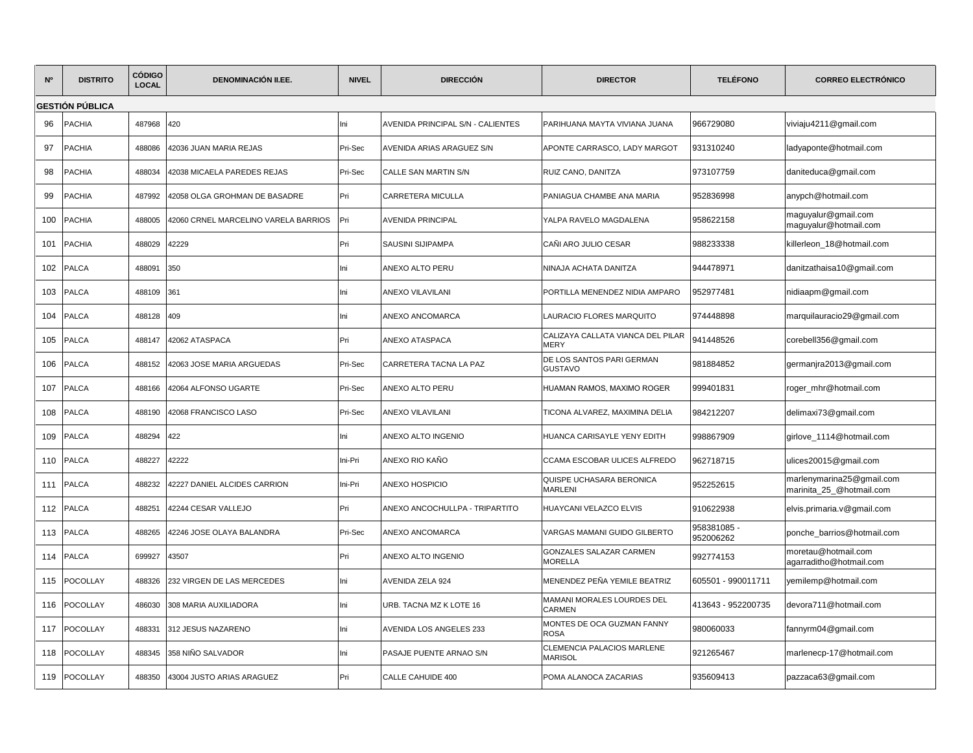| N°  | <b>DISTRITO</b>        | <b>CÓDIGO</b><br><b>LOCAL</b> | <b>DENOMINACIÓN II.EE.</b>           | <b>NIVEL</b>        | <b>DIRECCIÓN</b>                  | <b>DIRECTOR</b>                              | <b>TELÉFONO</b>          | <b>CORREO ELECTRÓNICO</b>                             |
|-----|------------------------|-------------------------------|--------------------------------------|---------------------|-----------------------------------|----------------------------------------------|--------------------------|-------------------------------------------------------|
|     | <b>GESTIÓN PÚBLICA</b> |                               |                                      |                     |                                   |                                              |                          |                                                       |
| 96  | <b>PACHIA</b>          | 487968                        | 420                                  | Ini                 | AVENIDA PRINCIPAL S/N - CALIENTES | PARIHUANA MAYTA VIVIANA JUANA                | 966729080                | viviaju4211@gmail.com                                 |
| 97  | PACHIA                 | 488086                        | 42036 JUAN MARIA REJAS               | Pri-Sec             | AVENIDA ARIAS ARAGUEZ S/N         | APONTE CARRASCO, LADY MARGOT                 | 931310240                | ladyaponte@hotmail.com                                |
| 98  | <b>PACHIA</b>          | 488034                        | 42038 MICAELA PAREDES REJAS          | Pri-Sec             | <b>CALLE SAN MARTIN S/N</b>       | RUIZ CANO. DANITZA                           | 973107759                | daniteduca@gmail.com                                  |
| 99  | PACHIA                 | 487992                        | 42058 OLGA GROHMAN DE BASADRE        | Pri                 | CARRETERA MICULLA                 | PANIAGUA CHAMBE ANA MARIA                    | 952836998                | anypch@hotmail.com                                    |
| 100 | PACHIA                 | 488005                        | 42060 CRNEL MARCELINO VARELA BARRIOS | Pri                 | <b>AVENIDA PRINCIPAL</b>          | YALPA RAVELO MAGDALENA                       | 958622158                | maguyalur@gmail.com<br>maguyalur@hotmail.com          |
| 101 | PACHIA                 | 488029                        | 42229                                | Pri                 | SAUSINI SIJIPAMPA                 | CAÑI ARO JULIO CESAR                         | 988233338                | killerleon_18@hotmail.com                             |
| 102 | PALCA                  | 488091                        | 350                                  | Ini                 | ANEXO ALTO PERU                   | NINAJA ACHATA DANITZA                        | 944478971                | danitzathaisa10@gmail.com                             |
| 103 | PALCA                  | 488109                        | 361                                  | lni                 | ANEXO VILAVILANI                  | PORTILLA MENENDEZ NIDIA AMPARO               | 952977481                | nidiaapm@gmail.com                                    |
| 104 | PALCA                  | 488128                        | 409                                  | lni                 | ANEXO ANCOMARCA                   | <b>AURACIO FLORES MARQUITO</b>               | 974448898                | marquilauracio29@gmail.com                            |
| 105 | PALCA                  | 488147                        | 42062 ATASPACA                       | Pri                 | ANEXO ATASPACA                    | CALIZAYA CALLATA VIANCA DEL PILAR<br>MERY    | 941448526                | corebell356@gmail.com                                 |
| 106 | PALCA                  | 488152                        | 42063 JOSE MARIA ARGUEDAS            | Pri-Sec             | CARRETERA TACNA LA PAZ            | DE LOS SANTOS PARI GERMAN<br>GUSTAVO         | 981884852                | germanjra2013@gmail.com                               |
| 107 | PALCA                  | 488166                        | 42064 ALFONSO UGARTE                 | <sup>P</sup> ri-Sec | ANEXO ALTO PERU                   | HUAMAN RAMOS. MAXIMO ROGER                   | 999401831                | roger_mhr@hotmail.com                                 |
| 108 | PALCA                  | 488190                        | 42068 FRANCISCO LASO                 | Pri-Sec             | ANEXO VILAVILANI                  | TICONA ALVAREZ, MAXIMINA DELIA               | 984212207                | delimaxi73@gmail.com                                  |
| 109 | PALCA                  | 488294                        | 422                                  | Ini                 | ANEXO ALTO INGENIO                | HUANCA CARISAYLE YENY EDITH                  | 998867909                | girlove 1114@hotmail.com                              |
| 110 | PALCA                  | 488227                        | 42222                                | Ini-Pri             | ANEXO RIO KAÑO                    | CCAMA ESCOBAR ULICES ALFREDO                 | 962718715                | ulices20015@gmail.com                                 |
| 111 | PALCA                  | 488232                        | 42227 DANIEL ALCIDES CARRION         | Ini-Pri             | ANEXO HOSPICIO                    | QUISPE UCHASARA BERONICA<br><b>MARLENI</b>   | 952252615                | marlenymarina25@gmail.com<br>marinita_25_@hotmail.com |
| 112 | PALCA                  | 488251                        | 42244 CESAR VALLEJO                  | Pri                 | ANEXO ANCOCHULLPA - TRIPARTITO    | HUAYCANI VELAZCO ELVIS                       | 910622938                | elvis.primaria.v@gmail.com                            |
| 113 | PALCA                  | 488265                        | 42246 JOSE OLAYA BALANDRA            | Pri-Sec             | ANEXO ANCOMARCA                   | VARGAS MAMANI GUIDO GILBERTO                 | 958381085 -<br>952006262 | ponche_barrios@hotmail.com                            |
| 114 | PALCA                  | 699927                        | 43507                                | Pri                 | ANEXO ALTO INGENIO                | GONZALES SALAZAR CARMEN<br>MORELLA           | 992774153                | moretau@hotmail.com<br>agarraditho@hotmail.com        |
| 115 | <b>POCOLLAY</b>        | 488326                        | 232 VIRGEN DE LAS MERCEDES           | Ini                 | AVENIDA ZELA 924                  | MENENDEZ PEÑA YEMILE BEATRIZ                 | 605501 - 990011711       | yemilemp@hotmail.com                                  |
| 116 | <b>POCOLLAY</b>        | 486030                        | 308 MARIA AUXILIADORA                | Ini                 | URB. TACNA MZ K LOTE 16           | <b>MAMANI MORALES LOURDES DEL</b><br>CARMEN  | 413643 - 952200735       | devora711@hotmail.com                                 |
| 117 | <b>POCOLLAY</b>        | 488331                        | 312 JESUS NAZARENO                   | Ini                 | AVENIDA LOS ANGELES 233           | MONTES DE OCA GUZMAN FANNY<br>ROSA           | 980060033                | fannyrm04@gmail.com                                   |
| 118 | <b>POCOLLAY</b>        | 488345                        | 358 NIÑO SALVADOR                    | Ini                 | PASAJE PUENTE ARNAO S/N           | CLEMENCIA PALACIOS MARLENE<br><b>MARISOL</b> | 921265467                | marlenecp-17@hotmail.com                              |
| 119 | POCOLLAY               | 488350                        | 43004 JUSTO ARIAS ARAGUEZ            | Pri                 | <b>CALLE CAHUIDE 400</b>          | POMA ALANOCA ZACARIAS                        | 935609413                | pazzaca63@gmail.com                                   |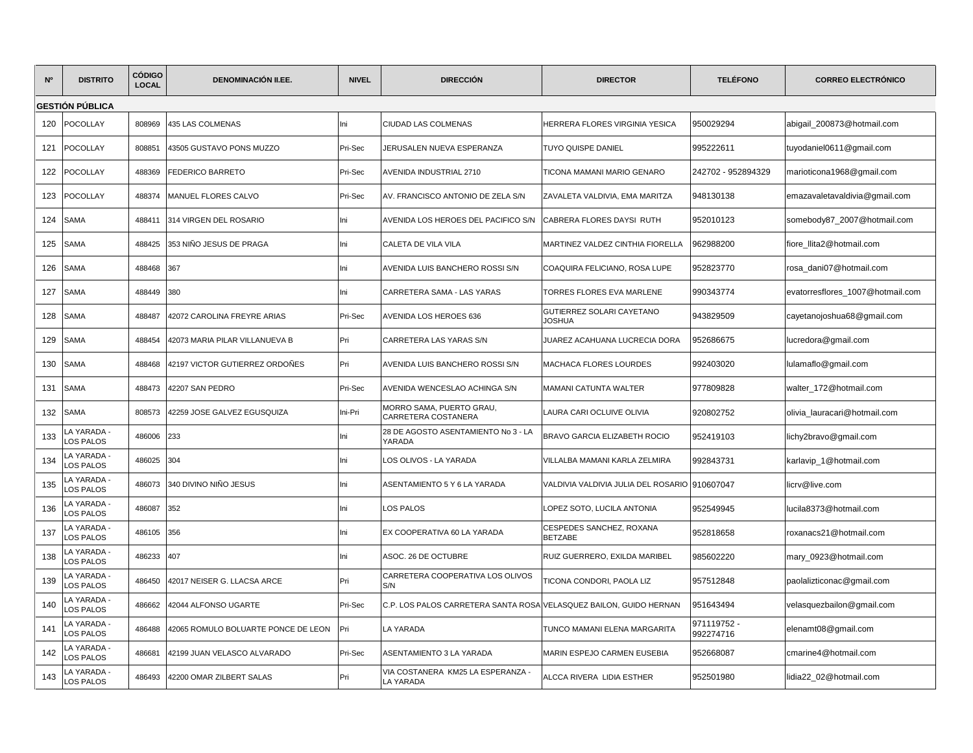| N <sup>o</sup> | <b>DISTRITO</b>          | <b>CÓDIGO</b><br><b>LOCAL</b> | <b>DENOMINACIÓN II.EE.</b>          | <b>NIVEL</b> | <b>DIRECCIÓN</b>                                                   | <b>DIRECTOR</b>                               | <b>TELÉFONO</b>          | <b>CORREO ELECTRÓNICO</b>        |
|----------------|--------------------------|-------------------------------|-------------------------------------|--------------|--------------------------------------------------------------------|-----------------------------------------------|--------------------------|----------------------------------|
|                | <b>GESTIÓN PÚBLICA</b>   |                               |                                     |              |                                                                    |                                               |                          |                                  |
| 120            | <b>POCOLLAY</b>          | 808969                        | 435 LAS COLMENAS                    | lni          | CIUDAD LAS COLMENAS                                                | HERRERA FLORES VIRGINIA YESICA                | 950029294                | abigail_200873@hotmail.com       |
| 121            | <b>POCOLLAY</b>          | 808851                        | 43505 GUSTAVO PONS MUZZO            | Pri-Sec      | JERUSALEN NUEVA ESPERANZA                                          | TUYO QUISPE DANIEL                            | 995222611                | tuyodaniel0611@gmail.com         |
| 122            | <b>POCOLLAY</b>          | 488369                        | <b>FEDERICO BARRETO</b>             | Pri-Sec      | AVENIDA INDUSTRIAL 2710                                            | TICONA MAMANI MARIO GENARO                    | 242702 - 952894329       | marioticona1968@gmail.com        |
| 123            | POCOLLAY                 | 488374                        | MANUEL FLORES CALVO                 | Pri-Sec      | AV. FRANCISCO ANTONIO DE ZELA S/N                                  | ZAVALETA VALDIVIA, EMA MARITZA                | 948130138                | emazavaletavaldivia@gmail.com    |
| 124            | SAMA                     | 488411                        | 314 VIRGEN DEL ROSARIO              | Ini          | AVENIDA LOS HEROES DEL PACIFICO S/N                                | CABRERA FLORES DAYSI RUTH                     | 952010123                | somebody87_2007@hotmail.com      |
| 125            | <b>SAMA</b>              | 488425                        | 353 NIÑO JESUS DE PRAGA             | Ini          | CALETA DE VILA VILA                                                | MARTINEZ VALDEZ CINTHIA FIORELLA              | 962988200                | fiore_llita2@hotmail.com         |
| 126            | <b>SAMA</b>              | 488468                        | 367                                 | lni          | AVENIDA LUIS BANCHERO ROSSI S/N                                    | COAQUIRA FELICIANO, ROSA LUPE                 | 952823770                | rosa dani07@hotmail.com          |
| 127            | <b>SAMA</b>              | 488449                        | 380                                 | Ini          | CARRETERA SAMA - LAS YARAS                                         | <b>TORRES FLORES EVA MARLENE</b>              | 990343774                | evatorresflores_1007@hotmail.com |
| 128            | SAMA                     | 488487                        | 42072 CAROLINA FREYRE ARIAS         | Pri-Sec      | AVENIDA LOS HEROES 636                                             | GUTIERREZ SOLARI CAYETANO<br><b>JOSHUA</b>    | 943829509                | cayetanojoshua68@gmail.com       |
| 129            | SAMA                     | 488454                        | 42073 MARIA PILAR VILLANUEVA B      | Pri          | CARRETERA LAS YARAS S/N                                            | JUAREZ ACAHUANA LUCRECIA DORA                 | 952686675                | lucredora@gmail.com              |
| 130            | SAMA                     | 488468                        | 42197 VICTOR GUTIERREZ ORDOÑES      | Pri          | AVENIDA LUIS BANCHERO ROSSI S/N                                    | <b>MACHACA FLORES LOURDES</b>                 | 992403020                | lulamaflo@gmail.com              |
| 131            | <b>SAMA</b>              | 488473                        | 42207 SAN PEDRO                     | Pri-Sec      | AVENIDA WENCESLAO ACHINGA S/N                                      | <b>MAMANI CATUNTA WALTER</b>                  | 977809828                | walter_172@hotmail.com           |
| 132            | <b>SAMA</b>              | 808573                        | 42259 JOSE GALVEZ EGUSQUIZA         | Ini-Pri      | MORRO SAMA, PUERTO GRAU,<br>CARRETERA COSTANERA                    | LAURA CARI OCLUIVE OLIVIA                     | 920802752                | olivia_lauracari@hotmail.com     |
| 133            | A YARADA -<br>OS PALOS   | 486006                        | 233                                 | lni          | 28 DE AGOSTO ASENTAMIENTO No 3 - LA<br>YARADA                      | BRAVO GARCIA ELIZABETH ROCIO                  | 952419103                | lichy2bravo@gmail.com            |
| 134            | A YARADA -<br>OS PALOS   | 486025                        | 304                                 | lni          | LOS OLIVOS - LA YARADA                                             | VILLALBA MAMANI KARLA ZELMIRA                 | 992843731                | karlavip_1@hotmail.com           |
| 135            | A YARADA -<br>OS PALOS   | 486073                        | 340 DIVINO NIÑO JESUS               | lni          | ASENTAMIENTO 5 Y 6 LA YARADA                                       | VALDIVIA VALDIVIA JULIA DEL ROSARIO 910607047 |                          | licrv@live.com                   |
| 136            | LA YARADA -<br>OS PALOS  | 486087                        | 352                                 | Ini          | LOS PALOS                                                          | OPEZ SOTO, LUCILA ANTONIA                     | 952549945                | lucila8373@hotmail.com           |
| 137            | A YARADA -<br>OS PALOS   | 486105                        | 356                                 | lni          | EX COOPERATIVA 60 LA YARADA                                        | CESPEDES SANCHEZ, ROXANA<br><b>BETZABE</b>    | 952818658                | roxanacs21@hotmail.com           |
| 138            | A YARADA -<br>OS PALOS   | 486233                        | 407                                 | lni          | ASOC. 26 DE OCTUBRE                                                | RUIZ GUERRERO, EXILDA MARIBEL                 | 985602220                | mary_0923@hotmail.com            |
| 139            | A YARADA -<br>OS PALOS   | 486450                        | 42017 NEISER G. LLACSA ARCE         | Pri          | CARRETERA COOPERATIVA LOS OLIVOS<br>S/N                            | TICONA CONDORI, PAOLA LIZ                     | 957512848                | paolalizticonac@gmail.com        |
| 140            | LA YARADA -<br>OS PALOS  | 486662                        | 42044 ALFONSO UGARTE                | Pri-Sec      | C.P. LOS PALOS CARRETERA SANTA ROSA VELASQUEZ BAILON, GUIDO HERNAN |                                               | 951643494                | velasquezbailon@gmail.com        |
| 141            | - A YARADA.<br>LOS PALOS | 486488                        | 42065 ROMULO BOLUARTE PONCE DE LEON | Pri          | LA YARADA                                                          | TUNCO MAMANI ELENA MARGARITA                  | 971119752 -<br>992274716 | elenamt08@gmail.com              |
| 142            | A YARADA -<br>OS PALOS   | 486681                        | 42199 JUAN VELASCO ALVARADO         | Pri-Sec      | ASENTAMIENTO 3 LA YARADA                                           | MARIN ESPEJO CARMEN EUSEBIA                   | 952668087                | cmarine4@hotmail.com             |
| 143            | - A YARADA.<br>LOS PALOS | 486493                        | 42200 OMAR ZILBERT SALAS            | Pri          | VIA COSTANERA KM25 LA ESPERANZA -<br>LA YARADA                     | ALCCA RIVERA LIDIA ESTHER                     | 952501980                | lidia22 02@hotmail.com           |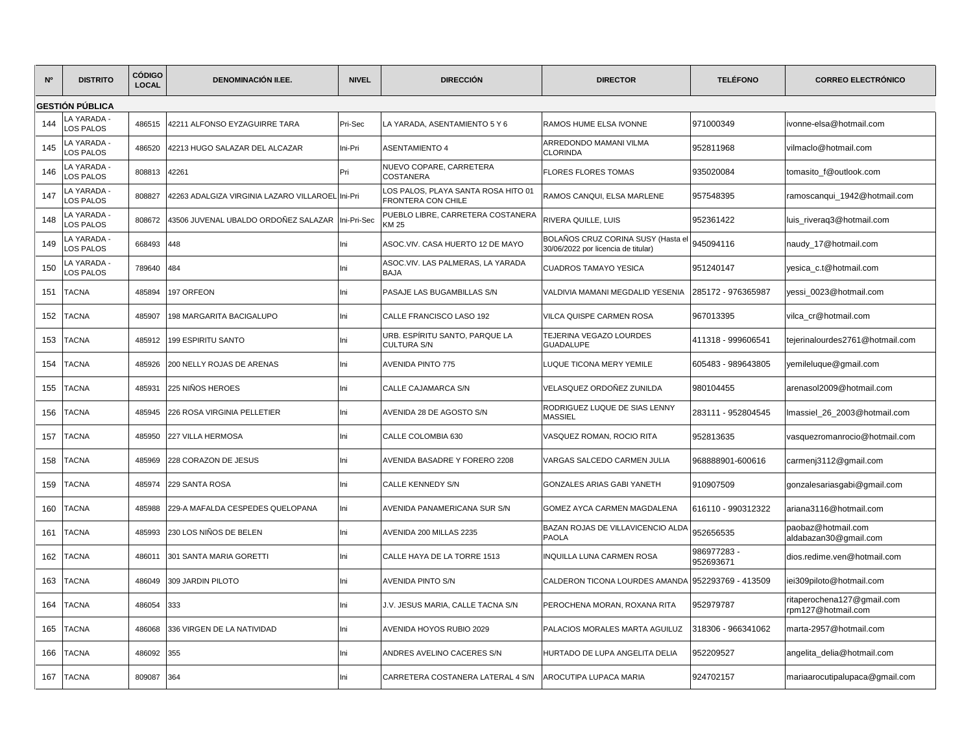| N <sup>o</sup> | <b>DISTRITO</b>          | <b>CÓDIGO</b><br><b>LOCAL</b> | <b>DENOMINACIÓN II.EE.</b>                       | <b>NIVEL</b> | <b>DIRECCIÓN</b>                                         | <b>DIRECTOR</b>                                                           | <b>TELÉFONO</b>         | <b>CORREO ELECTRÓNICO</b>                        |
|----------------|--------------------------|-------------------------------|--------------------------------------------------|--------------|----------------------------------------------------------|---------------------------------------------------------------------------|-------------------------|--------------------------------------------------|
|                | <b>GESTIÓN PÚBLICA</b>   |                               |                                                  |              |                                                          |                                                                           |                         |                                                  |
| 144            | LA YARADA -<br>LOS PALOS | 486515                        | 42211 ALFONSO EYZAGUIRRE TARA                    | Pri-Sec      | LA YARADA, ASENTAMIENTO 5 Y 6                            | RAMOS HUME ELSA IVONNE                                                    | 971000349               | ivonne-elsa@hotmail.com                          |
| 145            | - LA YARADA<br>LOS PALOS | 486520                        | 42213 HUGO SALAZAR DEL ALCAZAR                   | Ini-Pri      | <b>ASENTAMIENTO 4</b>                                    | ARREDONDO MAMANI VILMA<br><b>CLORINDA</b>                                 | 952811968               | vilmaclo@hotmail.com                             |
| 146            | A YARADA ·<br>LOS PALOS  | 808813                        | 42261                                            | Pri          | NUEVO COPARE, CARRETERA<br><b>COSTANERA</b>              | <b>FLORES FLORES TOMAS</b>                                                | 935020084               | tomasito_f@outlook.com                           |
| 147            | LA YARADA<br>LOS PALOS   | 808827                        | 42263 ADALGIZA VIRGINIA LAZARO VILLAROEL Ini-Pri |              | OS PALOS, PLAYA SANTA ROSA HITO 01<br>FRONTERA CON CHILE | RAMOS CANQUI, ELSA MARLENE                                                | 957548395               | ramoscanqui_1942@hotmail.com                     |
| 148            | LA YARADA -<br>LOS PALOS | 808672                        | 43506 JUVENAL UBALDO ORDOÑEZ SALAZAR             | Ini-Pri-Sec  | PUEBLO LIBRE, CARRETERA COSTANERA<br><b>KM 25</b>        | RIVERA QUILLE. LUIS                                                       | 952361422               | luis_riveraq3@hotmail.com                        |
| 149            | - LA YARADA<br>LOS PALOS | 668493                        | 448                                              | Ini          | ASOC.VIV. CASA HUERTO 12 DE MAYO                         | BOLAÑOS CRUZ CORINA SUSY (Hasta el<br>30/06/2022 por licencia de titular) | 945094116               | naudy_17@hotmail.com                             |
| 150            | - LA YARADA<br>LOS PALOS | 789640                        | 484                                              | Ini          | ASOC.VIV. LAS PALMERAS, LA YARADA<br><b>BAJA</b>         | <b>CUADROS TAMAYO YESICA</b>                                              | 951240147               | yesica_c.t@hotmail.com                           |
| 151            | <b>TACNA</b>             | 485894                        | 197 ORFEON                                       | Ini          | PASAJE LAS BUGAMBILLAS S/N                               | /ALDIVIA MAMANI MEGDALID YESENIA                                          | 285172 - 976365987      | yessi_0023@hotmail.com                           |
| 152            | <b>TACNA</b>             | 485907                        | 198 MARGARITA BACIGALUPO                         | Ini          | CALLE FRANCISCO LASO 192                                 | VILCA QUISPE CARMEN ROSA                                                  | 967013395               | vilca_cr@hotmail.com                             |
| 153            | <b>TACNA</b>             | 485912                        | <b>199 ESPIRITU SANTO</b>                        | Ini          | URB. ESPIRITU SANTO, PARQUE LA<br><b>CULTURA S/N</b>     | TEJERINA VEGAZO LOURDES<br><b>GUADALUPE</b>                               | 411318 - 999606541      | tejerinalourdes2761@hotmail.com                  |
| 154            | <b>TACNA</b>             | 485926                        | 200 NELLY ROJAS DE ARENAS                        | Ini          | <b>AVENIDA PINTO 775</b>                                 | LUQUE TICONA MERY YEMILE                                                  | 605483 - 989643805      | yemileluque@gmail.com                            |
| 155            | <b>TACNA</b>             | 485931                        | 225 NIÑOS HEROES                                 | Ini          | CALLE CAJAMARCA S/N                                      | VELASQUEZ ORDOÑEZ ZUNILDA                                                 | 980104455               | arenasol2009@hotmail.com                         |
| 156            | <b>TACNA</b>             | 485945                        | 226 ROSA VIRGINIA PELLETIER                      | Ini          | AVENIDA 28 DE AGOSTO S/N                                 | RODRIGUEZ LUQUE DE SIAS LENNY<br><b>MASSIEL</b>                           | 283111 - 952804545      | Imassiel_26_2003@hotmail.com                     |
| 157            | <b>TACNA</b>             | 485950                        | <b>227 VILLA HERMOSA</b>                         | Ini          | CALLE COLOMBIA 630                                       | VASQUEZ ROMAN, ROCIO RITA                                                 | 952813635               | vasquezromanrocio@hotmail.com                    |
| 158            | <b>TACNA</b>             | 485969                        | 228 CORAZON DE JESUS                             | Ini          | <b>AVENIDA BASADRE Y FORERO 2208</b>                     | VARGAS SALCEDO CARMEN JULIA                                               | 968888901-600616        | carmenj3112@gmail.com                            |
| 159            | <b>TACNA</b>             | 485974                        | 229 SANTA ROSA                                   | Ini          | <b>CALLE KENNEDY S/N</b>                                 | <b>GONZALES ARIAS GABI YANETH</b>                                         | 910907509               | gonzalesariasgabi@gmail.com                      |
| 160            | <b>TACNA</b>             | 485988                        | 229-A MAFALDA CESPEDES QUELOPANA                 | Ini          | AVENIDA PANAMERICANA SUR S/N                             | GOMEZ AYCA CARMEN MAGDALENA                                               | 616110 - 990312322      | ariana3116@hotmail.com                           |
| 161            | <b>TACNA</b>             | 485993                        | 230 LOS NIÑOS DE BELEN                           | Ini          | AVENIDA 200 MILLAS 2235                                  | BAZAN ROJAS DE VILLAVICENCIO ALDA<br><b>PAOLA</b>                         | 952656535               | paobaz@hotmail.com<br>aldabazan30@gmail.com      |
| 162            | <b>TACNA</b>             | 486011                        | 301 SANTA MARIA GORETTI                          | Ini          | CALLE HAYA DE LA TORRE 1513                              | INQUILLA LUNA CARMEN ROSA                                                 | 986977283-<br>952693671 | dios.redime.ven@hotmail.com                      |
| 163            | <b>TACNA</b>             | 486049                        | 309 JARDIN PILOTO                                | Ini          | <b>AVENIDA PINTO S/N</b>                                 | CALDERON TICONA LOURDES AMANDA                                            | 952293769 - 413509      | iei309piloto@hotmail.com                         |
| 164            | <b>TACNA</b>             | 486054                        | 333                                              | Ini          | J.V. JESUS MARIA, CALLE TACNA S/N                        | PEROCHENA MORAN, ROXANA RITA                                              | 952979787               | ritaperochena127@gmail.com<br>rpm127@hotmail.com |
| 165            | <b>TACNA</b>             | 486068                        | 336 VIRGEN DE LA NATIVIDAD                       | Ini          | AVENIDA HOYOS RUBIO 2029                                 | PALACIOS MORALES MARTA AGUILUZ                                            | 318306 - 966341062      | marta-2957@hotmail.com                           |
| 166            | <b>TACNA</b>             | 486092                        | 355                                              | Ini          | ANDRES AVELINO CACERES S/N                               | HURTADO DE LUPA ANGELITA DELIA                                            | 952209527               | angelita_delia@hotmail.com                       |
| 167            | <b>TACNA</b>             | 809087                        | 364                                              | Ini          | CARRETERA COSTANERA LATERAL 4 S/N                        | AROCUTIPA LUPACA MARIA                                                    | 924702157               | mariaarocutipalupaca@gmail.com                   |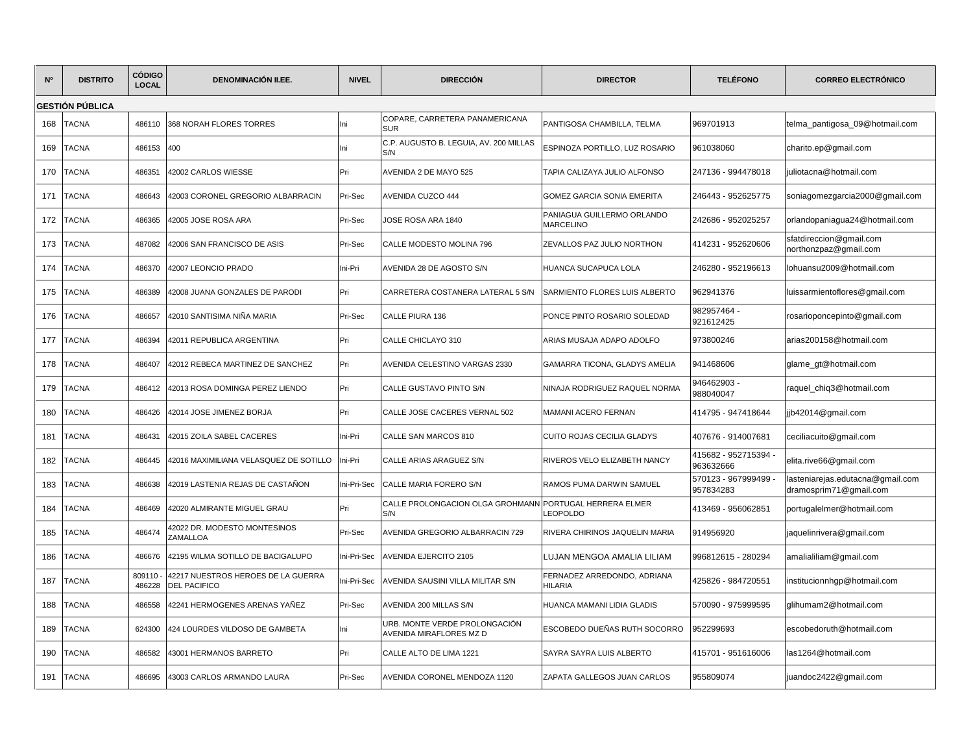| <b>N°</b> | <b>DISTRITO</b>        | CÓDIGO<br><b>LOCAL</b> | <b>DENOMINACIÓN II.EE.</b>                                | <b>NIVEL</b> | <b>DIRECCIÓN</b>                                         | <b>DIRECTOR</b>                                | <b>TELÉFONO</b>                   | <b>CORREO ELECTRÓNICO</b>                                  |
|-----------|------------------------|------------------------|-----------------------------------------------------------|--------------|----------------------------------------------------------|------------------------------------------------|-----------------------------------|------------------------------------------------------------|
|           | <b>GESTIÓN PÚBLICA</b> |                        |                                                           |              |                                                          |                                                |                                   |                                                            |
| 168       | <b>TACNA</b>           | 486110                 | 368 NORAH FLORES TORRES                                   | Ini          | COPARE, CARRETERA PANAMERICANA<br><b>SUR</b>             | PANTIGOSA CHAMBILLA. TELMA                     | 969701913                         | telma_pantigosa_09@hotmail.com                             |
| 169       | <b>TACNA</b>           | 486153                 | 400                                                       | Ini          | C.P. AUGUSTO B. LEGUIA, AV. 200 MILLAS<br>S/N            | ESPINOZA PORTILLO, LUZ ROSARIO                 | 961038060                         | charito.ep@gmail.com                                       |
| 170       | <b>TACNA</b>           | 486351                 | 42002 CARLOS WIESSE                                       | Pri          | AVENIDA 2 DE MAYO 525                                    | TAPIA CALIZAYA JULIO ALFONSO                   | 247136 - 994478018                | juliotacna@hotmail.com                                     |
| 171       | <b>TACNA</b>           | 486643                 | 42003 CORONEL GREGORIO ALBARRACIN                         | Pri-Sec      | AVENIDA CUZCO 444                                        | GOMEZ GARCIA SONIA EMERITA                     | 246443 - 952625775                | soniagomezgarcia2000@gmail.com                             |
| 172       | <b>TACNA</b>           | 486365                 | 42005 JOSE ROSA ARA                                       | Pri-Sec      | JOSE ROSA ARA 1840                                       | PANIAGUA GUILLERMO ORLANDO<br><b>MARCELINO</b> | 242686 - 952025257                | orlandopaniagua24@hotmail.com                              |
| 173       | <b>TACNA</b>           | 487082                 | 42006 SAN FRANCISCO DE ASIS                               | Pri-Sec      | CALLE MODESTO MOLINA 796                                 | ZEVALLOS PAZ JULIO NORTHON                     | 414231 - 952620606                | sfatdireccion@gmail.com<br>northonzpaz@gmail.com           |
| 174       | <b>TACNA</b>           | 486370                 | 42007 LEONCIO PRADO                                       | Ini-Pri      | AVENIDA 28 DE AGOSTO S/N                                 | HUANCA SUCAPUCA LOLA                           | 246280 - 952196613                | lohuansu2009@hotmail.com                                   |
| 175       | TACNA                  | 486389                 | 42008 JUANA GONZALES DE PARODI                            | Pri          | CARRETERA COSTANERA LATERAL 5 S/N                        | SARMIENTO FLORES LUIS ALBERTO                  | 962941376                         | luissarmientoflores@gmail.com                              |
| 176       | <b>TACNA</b>           | 486657                 | 42010 SANTISIMA NIÑA MARIA                                | Pri-Sec      | CALLE PIURA 136                                          | PONCE PINTO ROSARIO SOLEDAD                    | 982957464 -<br>921612425          | rosarioponcepinto@gmail.com                                |
| 177       | <b>TACNA</b>           | 486394                 | 42011 REPUBLICA ARGENTINA                                 | Pri          | CALLE CHICLAYO 310                                       | ARIAS MUSAJA ADAPO ADOLFO                      | 973800246                         | arias200158@hotmail.com                                    |
| 178       | <b>TACNA</b>           | 486407                 | 12012 REBECA MARTINEZ DE SANCHEZ                          | Pri          | AVENIDA CELESTINO VARGAS 2330                            | GAMARRA TICONA, GLADYS AMELIA                  | 941468606                         | glame_gt@hotmail.com                                       |
| 179       | <b>TACNA</b>           | 486412                 | 42013 ROSA DOMINGA PEREZ LIENDO                           | Pri          | CALLE GUSTAVO PINTO S/N                                  | NINAJA RODRIGUEZ RAQUEL NORMA                  | 946462903<br>988040047            | raquel_chiq3@hotmail.com                                   |
| 180       | <b>TACNA</b>           | 486426                 | 42014 JOSE JIMENEZ BORJA                                  | Pri          | CALLE JOSE CACERES VERNAL 502                            | MAMANI ACERO FERNAN                            | 414795 - 947418644                | jjb42014@gmail.com                                         |
| 181       | <b>TACNA</b>           | 486431                 | 42015 ZOILA SABEL CACERES                                 | Ini-Pri      | CALLE SAN MARCOS 810                                     | CUITO ROJAS CECILIA GLADYS                     | 407676 - 914007681                | ceciliacuito@gmail.com                                     |
| 182       | TACNA                  | 486445                 | 12016 MAXIMILIANA VELASQUEZ DE SOTILLO                    | Ini-Pri      | CALLE ARIAS ARAGUEZ S/N                                  | RIVEROS VELO ELIZABETH NANCY                   | 415682 - 952715394 -<br>963632666 | elita.rive66@gmail.com                                     |
| 183       | <b>TACNA</b>           | 486638                 | 42019 LASTENIA REJAS DE CASTAÑON                          | Ini-Pri-Sec  | CALLE MARIA FORERO S/N                                   | RAMOS PUMA DARWIN SAMUEL                       | 570123 - 967999499<br>957834283   | lasteniarejas.edutacna@gmail.com<br>dramosprim71@gmail.com |
| 184       | <b>TACNA</b>           | 486469                 | <b>12020 ALMIRANTE MIGUEL GRAU</b>                        | Pri          | CALLE PROLONGACION OLGA GROHMANN<br>S/N                  | PORTUGAL HERRERA ELMER<br><b>LEOPOLDO</b>      | 413469 - 956062851                | portugalelmer@hotmail.com                                  |
| 185       | <b>TACNA</b>           | 486474                 | 42022 DR. MODESTO MONTESINOS<br>ZAMALLOA                  | Pri-Sec      | AVENIDA GREGORIO ALBARRACIN 729                          | RIVERA CHIRINOS JAQUELIN MARIA                 | 914956920                         | jaquelinrivera@gmail.com                                   |
| 186       | <b>TACNA</b>           | 486676                 | 42195 WILMA SOTILLO DE BACIGALUPO                         | Ini-Pri-Sec  | <b>AVENIDA EJERCITO 2105</b>                             | LUJAN MENGOA AMALIA LILIAM                     | 996812615 - 280294                | amalialiliam@gmail.com                                     |
| 187       | <b>TACNA</b>           | 809110<br>486228       | 42217 NUESTROS HEROES DE LA GUERRA<br><b>DEL PACIFICO</b> | Ini-Pri-Sec  | AVENIDA SAUSINI VILLA MILITAR S/N                        | FERNADEZ ARREDONDO, ADRIANA<br><b>HILARIA</b>  | 425826 - 984720551                | institucionnhgp@hotmail.com                                |
| 188       | <b>TACNA</b>           | 486558                 | 42241 HERMOGENES ARENAS YAÑEZ                             | Pri-Sec      | AVENIDA 200 MILLAS S/N                                   | HUANCA MAMANI LIDIA GLADIS                     | 570090 - 975999595                | glihumam2@hotmail.com                                      |
| 189       | <b>TACNA</b>           | 624300                 | 424 LOURDES VILDOSO DE GAMBETA                            | Ini          | URB. MONTE VERDE PROLONGACIÓN<br>AVENIDA MIRAFLORES MZ D | ESCOBEDO DUEÑAS RUTH SOCORRO                   | 952299693                         | escobedoruth@hotmail.com                                   |
| 190       | <b>TACNA</b>           | 486582                 | 43001 HERMANOS BARRETO                                    | Pri          | CALLE ALTO DE LIMA 1221                                  | SAYRA SAYRA LUIS ALBERTO                       | 415701 - 951616006                | las1264@hotmail.com                                        |
| 191       | <b>TACNA</b>           | 486695                 | 43003 CARLOS ARMANDO LAURA                                | Pri-Sec      | AVENIDA CORONEL MENDOZA 1120                             | ZAPATA GALLEGOS JUAN CARLOS                    | 955809074                         | juandoc2422@gmail.com                                      |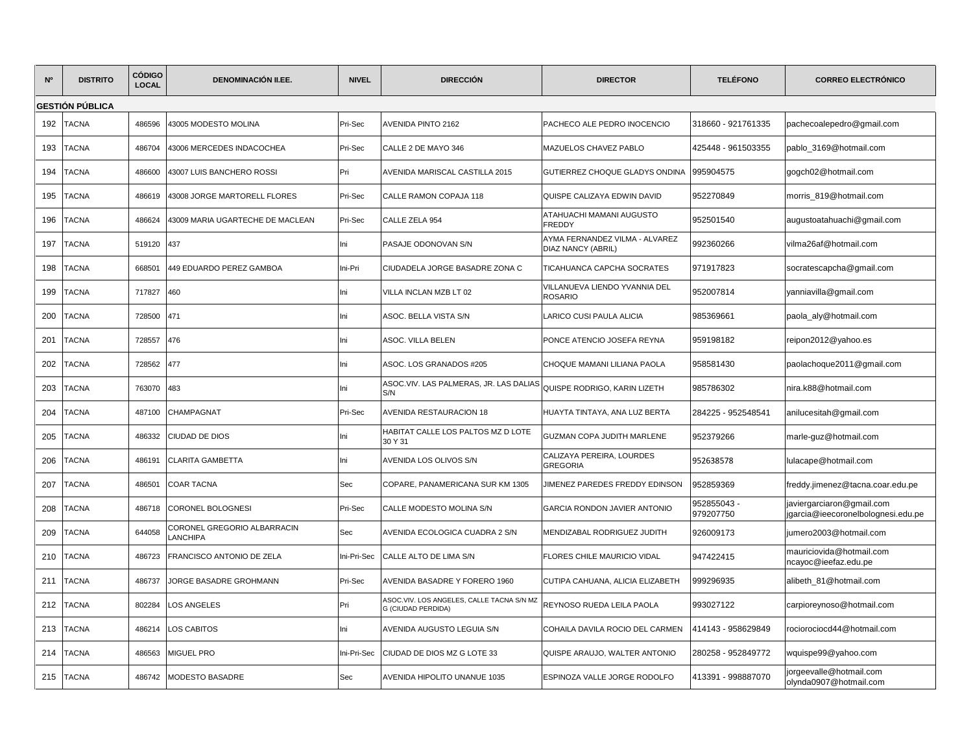| N°  | <b>DISTRITO</b> | <b>CÓDIGO</b><br><b>LOCAL</b> | <b>DENOMINACIÓN II.EE.</b>                     | <b>NIVEL</b> | <b>DIRECCIÓN</b>                                                | <b>DIRECTOR</b>                                      | <b>TELÉFONO</b>          | <b>CORREO ELECTRÓNICO</b>                                       |
|-----|-----------------|-------------------------------|------------------------------------------------|--------------|-----------------------------------------------------------------|------------------------------------------------------|--------------------------|-----------------------------------------------------------------|
|     | GESTIÓN PÚBLICA |                               |                                                |              |                                                                 |                                                      |                          |                                                                 |
| 192 | <b>TACNA</b>    | 486596                        | 43005 MODESTO MOLINA                           | Pri-Sec      | AVENIDA PINTO 2162                                              | PACHECO ALE PEDRO INOCENCIO                          | 318660 - 921761335       | pachecoalepedro@gmail.com                                       |
| 193 | <b>TACNA</b>    | 486704                        | 43006 MERCEDES INDACOCHEA                      | Pri-Sec      | CALLE 2 DE MAYO 346                                             | MAZUELOS CHAVEZ PABLO                                | 425448 - 961503355       | pablo 3169@hotmail.com                                          |
| 194 | TACNA           | 486600                        | 43007 LUIS BANCHERO ROSSI                      | Pri          | AVENIDA MARISCAL CASTILLA 2015                                  | GUTIERREZ CHOQUE GLADYS ONDINA                       | 995904575                | gogch02@hotmail.com                                             |
| 195 | TACNA           | 486619                        | 43008 JORGE MARTORELL FLORES                   | Pri-Sec      | CALLE RAMON COPAJA 118                                          | QUISPE CALIZAYA EDWIN DAVID                          | 952270849                | morris_819@hotmail.com                                          |
| 196 | TACNA           | 486624                        | 43009 MARIA UGARTECHE DE MACLEAN               | Pri-Sec      | CALLE ZELA 954                                                  | ATAHUACHI MAMANI AUGUSTO<br>FREDDY                   | 952501540                | augustoatahuachi@gmail.com                                      |
| 197 | <b>TACNA</b>    | 519120                        | 437                                            | Ini          | PASAJE ODONOVAN S/N                                             | AYMA FERNANDEZ VILMA - ALVAREZ<br>DIAZ NANCY (ABRIL) | 992360266                | vilma26af@hotmail.com                                           |
| 198 | TACNA           | 668501                        | 449 EDUARDO PEREZ GAMBOA                       | Ini-Pri      | CIUDADELA JORGE BASADRE ZONA C                                  | TICAHUANCA CAPCHA SOCRATES                           | 971917823                | socratescapcha@gmail.com                                        |
| 199 | <b>TACNA</b>    | 717827                        | 460                                            | lni          | VILLA INCLAN MZB LT 02                                          | VILLANUEVA LIENDO YVANNIA DEL<br><b>ROSARIO</b>      | 952007814                | yanniavilla@gmail.com                                           |
| 200 | TACNA           | 728500                        | 471                                            | Ini          | ASOC. BELLA VISTA S/N                                           | LARICO CUSI PAULA ALICIA                             | 985369661                | paola_aly@hotmail.com                                           |
| 201 | <b>TACNA</b>    | 728557                        | 476                                            | lni          | ASOC. VILLA BELEN                                               | PONCE ATENCIO JOSEFA REYNA                           | 959198182                | reipon2012@yahoo.es                                             |
| 202 | TACNA           | 728562                        | 477                                            | Ini          | ASOC. LOS GRANADOS #205                                         | CHOQUE MAMANI LILIANA PAOLA                          | 958581430                | paolachoque2011@gmail.com                                       |
| 203 | TACNA           | 763070                        | 483                                            | lni          | ASOC.VIV. LAS PALMERAS, JR. LAS DALIAS<br>S/N                   | QUISPE RODRIGO, KARIN LIZETH                         | 985786302                | nira.k88@hotmail.com                                            |
| 204 | <b>TACNA</b>    | 487100                        | <b>CHAMPAGNAT</b>                              | Pri-Sec      | AVENIDA RESTAURACION 18                                         | HUAYTA TINTAYA, ANA LUZ BERTA                        | 284225 - 952548541       | anilucesitah@gmail.com                                          |
| 205 | TACNA           | 486332                        | <b>CIUDAD DE DIOS</b>                          | Ini          | HABITAT CALLE LOS PALTOS MZ D LOTE<br>30 Y 31                   | GUZMAN COPA JUDITH MARLENE                           | 952379266                | marle-guz@hotmail.com                                           |
| 206 | <b>TACNA</b>    | 486191                        | <b>CLARITA GAMBETTA</b>                        | lni          | AVENIDA LOS OLIVOS S/N                                          | CALIZAYA PEREIRA, LOURDES<br>GREGORIA                | 952638578                | lulacape@hotmail.com                                            |
| 207 | TACNA           | 486501                        | <b>COAR TACNA</b>                              | Sec          | COPARE, PANAMERICANA SUR KM 1305                                | JIMENEZ PAREDES FREDDY EDINSON                       | 952859369                | freddy.jimenez@tacna.coar.edu.pe                                |
| 208 | TACNA           | 486718                        | <b>CORONEL BOLOGNESI</b>                       | Pri-Sec      | CALLE MODESTO MOLINA S/N                                        | GARCIA RONDON JAVIER ANTONIO                         | 952855043 -<br>979207750 | javiergarciaron@gmail.com<br>igarcia@ieecoronelbolognesi.edu.pe |
| 209 | <b>TACNA</b>    | 644058                        | CORONEL GREGORIO ALBARRACIN<br><b>LANCHIPA</b> | Sec          | AVENIDA ECOLOGICA CUADRA 2 S/N                                  | MENDIZABAL RODRIGUEZ JUDITH                          | 926009173                | jumero2003@hotmail.com                                          |
| 210 | <b>TACNA</b>    | 486723                        | FRANCISCO ANTONIO DE ZELA                      | Ini-Pri-Sec  | CALLE ALTO DE LIMA S/N                                          | FLORES CHILE MAURICIO VIDAL                          | 947422415                | mauriciovida@hotmail.com<br>ncayoc@ieefaz.edu.pe                |
| 211 | <b>TACNA</b>    | 486737                        | JORGE BASADRE GROHMANN                         | Pri-Sec      | AVENIDA BASADRE Y FORERO 1960                                   | CUTIPA CAHUANA, ALICIA ELIZABETH                     | 999296935                | alibeth 81@hotmail.com                                          |
| 212 | <b>TACNA</b>    | 802284                        | LOS ANGELES                                    | Pri          | ASOC.VIV. LOS ANGELES, CALLE TACNA S/N MZ<br>G (CIUDAD PERDIDA) | REYNOSO RUEDA LEILA PAOLA                            | 993027122                | carpioreynoso@hotmail.com                                       |
| 213 | TACNA           | 486214                        | LOS CABITOS                                    | Ini          | AVENIDA AUGUSTO LEGUIA S/N                                      | COHAILA DAVILA ROCIO DEL CARMEN                      | 414143 - 958629849       | rociorociocd44@hotmail.com                                      |
| 214 | <b>TACNA</b>    | 486563                        | MIGUEL PRO                                     | Ini-Pri-Sec  | CIUDAD DE DIOS MZ G LOTE 33                                     | QUISPE ARAUJO, WALTER ANTONIO                        | 280258 - 952849772       | wquispe99@yahoo.com                                             |
| 215 | <b>TACNA</b>    | 486742                        | MODESTO BASADRE                                | Sec          | AVENIDA HIPOLITO UNANUE 1035                                    | ESPINOZA VALLE JORGE RODOLFO                         | 413391 - 998887070       | jorgeevalle@hotmail.com<br>olynda0907@hotmail.com               |